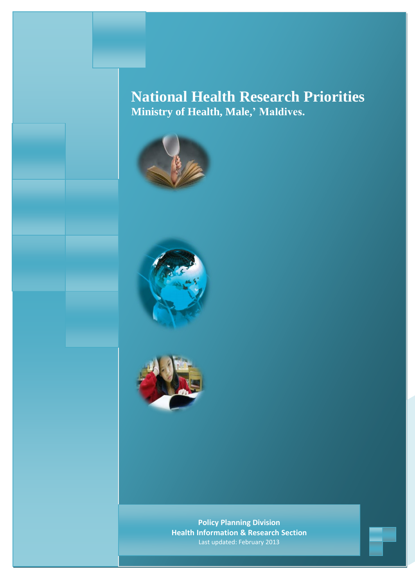## **National Health Research Priorities Ministry of Health, Male,' Maldives.**







**Policy Planning Division Health Information & Research Section** Last updated: February 2013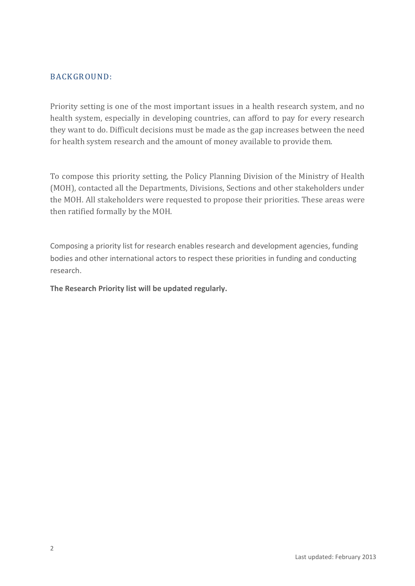## BACKGROUND:

Priority setting is one of the most important issues in a health research system, and no health system, especially in developing countries, can afford to pay for every research they want to do. Difficult decisions must be made as the gap increases between the need for health system research and the amount of money available to provide them.

To compose this priority setting, the Policy Planning Division of the Ministry of Health (MOH), contacted all the Departments, Divisions, Sections and other stakeholders under the MOH. All stakeholders were requested to propose their priorities. These areas were then ratified formally by the MOH.

Composing a priority list for research enables research and development agencies, funding bodies and other international actors to respect these priorities in funding and conducting research.

**The Research Priority list will be updated regularly.**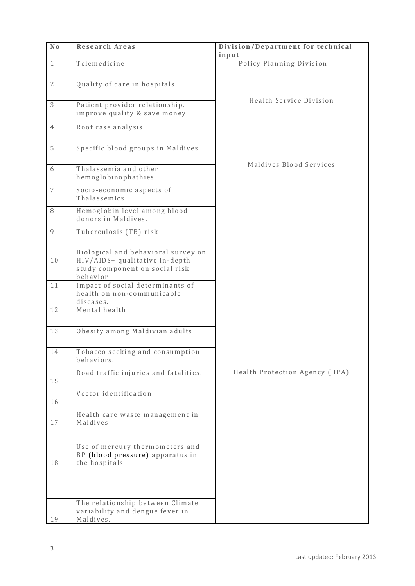| N <sub>0</sub> | <b>Research Areas</b>                                                                                               | Division/Department for technical<br>input |
|----------------|---------------------------------------------------------------------------------------------------------------------|--------------------------------------------|
| $\mathbf{1}$   | Telemedicine                                                                                                        | Policy Planning Division                   |
| $\overline{2}$ | Quality of care in hospitals                                                                                        |                                            |
| 3              | Patient provider relationship,<br>improve quality & save money                                                      | Health Service Division                    |
| 4              | Root case analysis                                                                                                  |                                            |
| 5              | Specific blood groups in Maldives.                                                                                  |                                            |
| 6              | Thalassemia and other<br>hemoglobinophathies                                                                        | Maldives Blood Services                    |
| 7              | Socio-economic aspects of<br>Thalassemics                                                                           |                                            |
| 8              | Hemoglobin level among blood<br>donors in Maldives.                                                                 |                                            |
| $\mathbf{Q}$   | Tuberculosis (TB) risk                                                                                              |                                            |
| 10             | Biological and behavioral survey on<br>HIV/AIDS+ qualitative in-depth<br>study component on social risk<br>behavior |                                            |
| 11             | Impact of social determinants of<br>health on non-communicable<br>diseases.                                         |                                            |
| 12             | Mental health                                                                                                       |                                            |
| 13             | Obesity among Maldivian adults                                                                                      |                                            |
| 14             | Tobacco seeking and consumption<br>behaviors.                                                                       |                                            |
| 15             | Road traffic injuries and fatalities.                                                                               | Health Protection Agency (HPA)             |
| 16             | Vector identification                                                                                               |                                            |
| 17             | Health care waste management in<br>Maldives                                                                         |                                            |
| 18             | Use of mercury thermometers and<br>BP (blood pressure) apparatus in<br>the hospitals                                |                                            |
| 19             | The relationship between Climate<br>variability and dengue fever in<br>Maldives.                                    |                                            |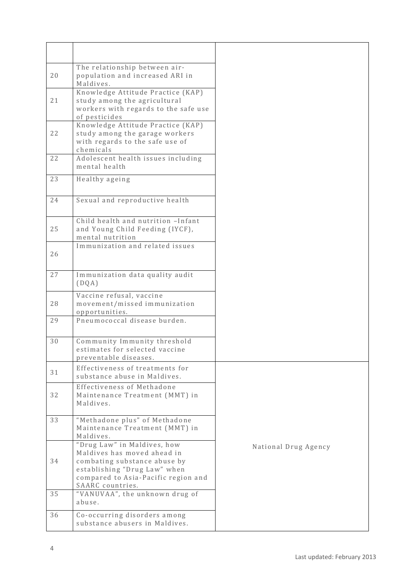| 20 | The relationship between air-<br>population and increased ARI in<br>Maldives.                                                                                     |                      |
|----|-------------------------------------------------------------------------------------------------------------------------------------------------------------------|----------------------|
| 21 | Knowledge Attitude Practice (KAP)<br>study among the agricultural<br>workers with regards to the safe use<br>of pesticides                                        |                      |
| 22 | Knowledge Attitude Practice (KAP)<br>study among the garage workers<br>with regards to the safe use of<br>chemicals                                               |                      |
| 22 | Adolescent health issues including<br>mental health                                                                                                               |                      |
| 23 | Healthy ageing                                                                                                                                                    |                      |
| 24 | Sexual and reproductive health                                                                                                                                    |                      |
| 25 | Child health and nutrition - Infant<br>and Young Child Feeding (IYCF),<br>mental nutrition                                                                        |                      |
| 26 | Immunization and related issues                                                                                                                                   |                      |
| 27 | Immunization data quality audit<br>(DQA)                                                                                                                          |                      |
| 28 | Vaccine refusal, vaccine<br>movement/missed immunization<br>opportunities.                                                                                        |                      |
| 29 | Pneumococcal disease burden.                                                                                                                                      |                      |
| 30 | Community Immunity threshold<br>estimates for selected vaccine<br>preventable diseases.                                                                           |                      |
| 31 | Effectiveness of treatments for<br>substance abuse in Maldives.                                                                                                   |                      |
| 32 | Effectiveness of Methadone<br>Maintenance Treatment (MMT) in<br>Maldives.                                                                                         |                      |
| 33 | "Methadone plus" of Methadone<br>Maintenance Treatment (MMT) in<br>Maldives.                                                                                      |                      |
| 34 | "Drug Law" in Maldives, how<br>Maldives has moved ahead in<br>combating substance abuse by<br>establishing "Drug Law" when<br>compared to Asia-Pacific region and | National Drug Agency |
| 35 | SAARC countries.<br>"VANUVAA", the unknown drug of<br>abuse.                                                                                                      |                      |
| 36 | Co-occurring disorders among<br>substance abusers in Maldives.                                                                                                    |                      |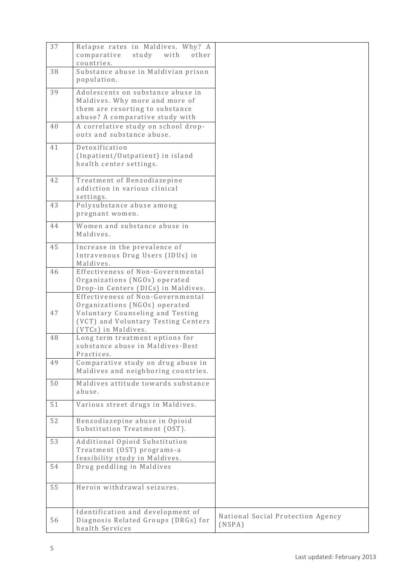| 37 | Relapse rates in Maldives. Why? A<br>comparative<br>study<br>with<br>other<br>countries.                                                                             |                                             |
|----|----------------------------------------------------------------------------------------------------------------------------------------------------------------------|---------------------------------------------|
| 38 | Substance abuse in Maldivian prison<br>population.                                                                                                                   |                                             |
| 39 | Adolescents on substance abuse in<br>Maldives. Why more and more of<br>them are resorting to substance<br>abuse? A comparative study with                            |                                             |
| 40 | A correlative study on school drop-<br>outs and substance abuse.                                                                                                     |                                             |
| 41 | Detoxification<br>(Inpatient/Outpatient) in island<br>health center settings.                                                                                        |                                             |
| 42 | Treatment of Benzodiazepine<br>addiction in various clinical<br>settings.                                                                                            |                                             |
| 43 | Polysubstance abuse among<br>pregnant women.                                                                                                                         |                                             |
| 44 | Women and substance abuse in<br>Maldives.                                                                                                                            |                                             |
| 45 | Increase in the prevalence of<br>Intravenous Drug Users (IDUs) in<br>Maldives.                                                                                       |                                             |
| 46 | Effectiveness of Non-Governmental<br>Organizations (NGOs) operated<br>Drop-in Centers (DICs) in Maldives.                                                            |                                             |
| 47 | Effectiveness of Non-Governmental<br>Organizations (NGOs) operated<br>Voluntary Counseling and Testing<br>(VCT) and Voluntary Testing Centers<br>(VTCs) in Maldives. |                                             |
| 48 | Long term treatment options for<br>substance abuse in Maldives-Best<br>Practices.                                                                                    |                                             |
| 49 | Comparative study on drug abuse in<br>Maldives and neighboring countries.                                                                                            |                                             |
| 50 | Maldives attitude towards substance<br>abuse.                                                                                                                        |                                             |
| 51 | Various street drugs in Maldives.                                                                                                                                    |                                             |
| 52 | Benzodiazepine abuse in Opioid<br>Substitution Treatment (OST).                                                                                                      |                                             |
| 53 | Additional Opioid Substitution<br>Treatment (OST) programs-a<br>feasibility study in Maldives.                                                                       |                                             |
| 54 | Drug peddling in Maldives                                                                                                                                            |                                             |
| 55 | Heroin withdrawal seizures.                                                                                                                                          |                                             |
| 56 | Identification and development of<br>Diagnosis Related Groups (DRGs) for<br>health Services                                                                          | National Social Protection Agency<br>(NSPA) |